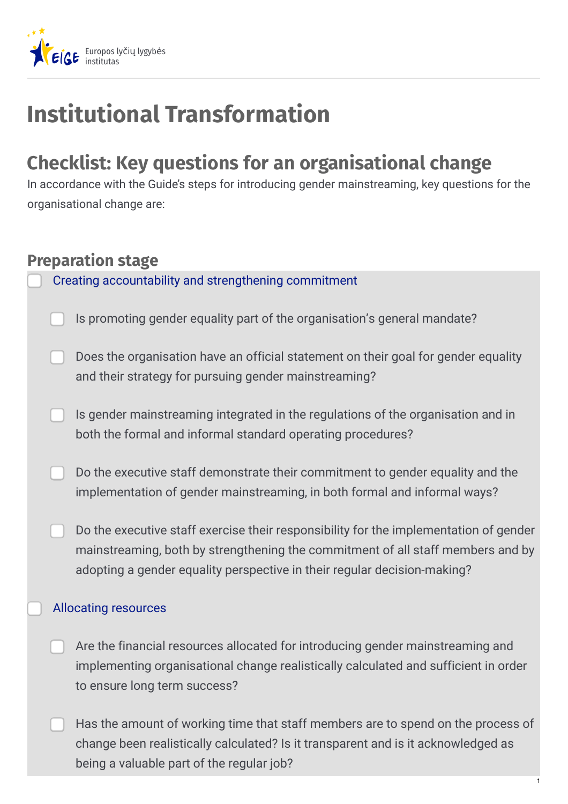

# **Institutional Transformation**

## **Checklist: Key questions for an organisational change**

In accordance with the Guide's steps for introducing gender mainstreaming, key questions for the organisational change are:

## **Preparation stage**

Creating [accountability](https://eige.europa.eu/gender-mainstreaming/tools-and-methods/gender-mainstreaming-and-institutional-transformation/step-1-creating-accountability-and-strengthening-commitment) and strengthening commitment

- Is promoting gender equality part of the organisation's general mandate?
- Does the organisation have an official statement on their goal for gender equality and their strategy for pursuing gender mainstreaming?
- Is gender mainstreaming integrated in the regulations of the organisation and in both the formal and informal standard operating procedures?
- Do the executive staff demonstrate their commitment to gender equality and the implementation of gender mainstreaming, in both formal and informal ways?
	- Do the executive staff exercise their responsibility for the implementation of gender mainstreaming, both by strengthening the commitment of all staff members and by adopting a gender equality perspective in their regular decision-making?

### [Allocating](https://eige.europa.eu/gender-mainstreaming/tools-and-methods/gender-mainstreaming-and-institutional-transformation/step-2-allocating-resources) resources

- Are the financial resources allocated for introducing gender mainstreaming and implementing organisational change realistically calculated and sufficient in order to ensure long term success?
- Has the amount of working time that staff members are to spend on the process of change been realistically calculated? Is it transparent and is it acknowledged as being a valuable part of the regular job?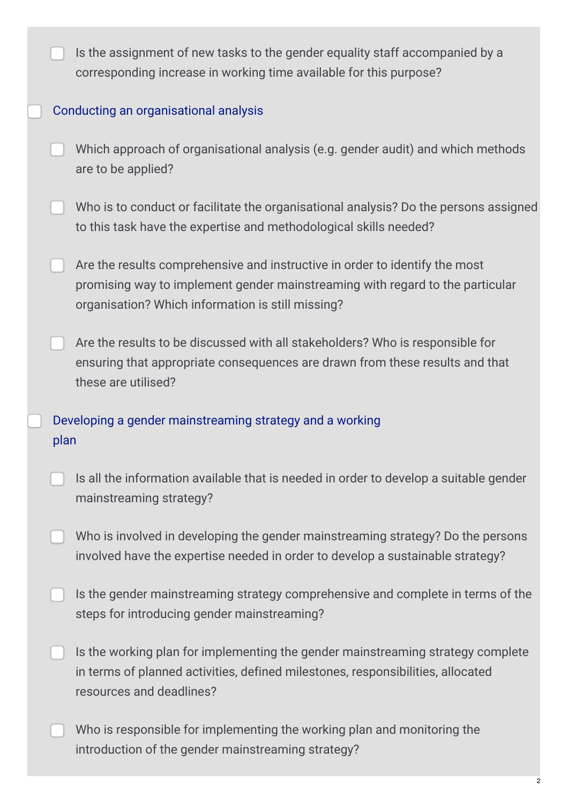|      | Is the assignment of new tasks to the gender equality staff accompanied by a<br>corresponding increase in working time available for this purpose?                                                                |
|------|-------------------------------------------------------------------------------------------------------------------------------------------------------------------------------------------------------------------|
|      | Conducting an organisational analysis                                                                                                                                                                             |
|      | Which approach of organisational analysis (e.g. gender audit) and which methods<br>are to be applied?                                                                                                             |
|      | Who is to conduct or facilitate the organisational analysis? Do the persons assigned<br>to this task have the expertise and methodological skills needed?                                                         |
|      | Are the results comprehensive and instructive in order to identify the most<br>promising way to implement gender mainstreaming with regard to the particular<br>organisation? Which information is still missing? |
|      | Are the results to be discussed with all stakeholders? Who is responsible for<br>ensuring that appropriate consequences are drawn from these results and that<br>these are utilised?                              |
| plan | Developing a gender mainstreaming strategy and a working                                                                                                                                                          |
|      | Is all the information available that is needed in order to develop a suitable gender<br>mainstreaming strategy?                                                                                                  |
|      | Who is involved in developing the gender mainstreaming strategy? Do the persons<br>involved have the expertise needed in order to develop a sustainable strategy?                                                 |
|      | Is the gender mainstreaming strategy comprehensive and complete in terms of the<br>steps for introducing gender mainstreaming?                                                                                    |
|      | Is the working plan for implementing the gender mainstreaming strategy complete<br>in terms of planned activities, defined milestones, responsibilities, allocated<br>resources and deadlines?                    |
|      | Who is responsible for implementing the working plan and monitoring the<br>introduction of the gender mainstreaming strategy?                                                                                     |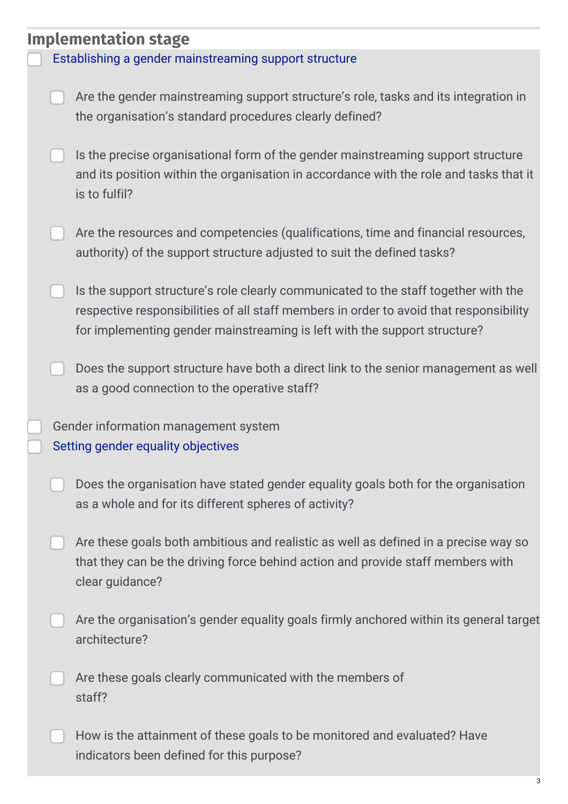| <b>Implementation stage</b> |                                                       |                                                                                                                                                                                                                                                            |  |
|-----------------------------|-------------------------------------------------------|------------------------------------------------------------------------------------------------------------------------------------------------------------------------------------------------------------------------------------------------------------|--|
|                             | Establishing a gender mainstreaming support structure |                                                                                                                                                                                                                                                            |  |
|                             |                                                       | Are the gender mainstreaming support structure's role, tasks and its integration in<br>the organisation's standard procedures clearly defined?                                                                                                             |  |
|                             |                                                       | Is the precise organisational form of the gender mainstreaming support structure<br>and its position within the organisation in accordance with the role and tasks that it<br>is to fulfil?                                                                |  |
|                             |                                                       | Are the resources and competencies (qualifications, time and financial resources,<br>authority) of the support structure adjusted to suit the defined tasks?                                                                                               |  |
|                             |                                                       | Is the support structure's role clearly communicated to the staff together with the<br>respective responsibilities of all staff members in order to avoid that responsibility<br>for implementing gender mainstreaming is left with the support structure? |  |
|                             |                                                       | Does the support structure have both a direct link to the senior management as well<br>as a good connection to the operative staff?                                                                                                                        |  |
|                             |                                                       | Gender information management system<br>Setting gender equality objectives                                                                                                                                                                                 |  |
|                             |                                                       | Does the organisation have stated gender equality goals both for the organisation<br>as a whole and for its different spheres of activity?                                                                                                                 |  |
|                             |                                                       | Are these goals both ambitious and realistic as well as defined in a precise way so<br>that they can be the driving force behind action and provide staff members with<br>clear guidance?                                                                  |  |
|                             |                                                       | Are the organisation's gender equality goals firmly anchored within its general target<br>architecture?                                                                                                                                                    |  |
|                             |                                                       | Are these goals clearly communicated with the members of<br>staff?                                                                                                                                                                                         |  |
|                             |                                                       | How is the attainment of these goals to be monitored and evaluated? Have<br>indicators been defined for this purpose?                                                                                                                                      |  |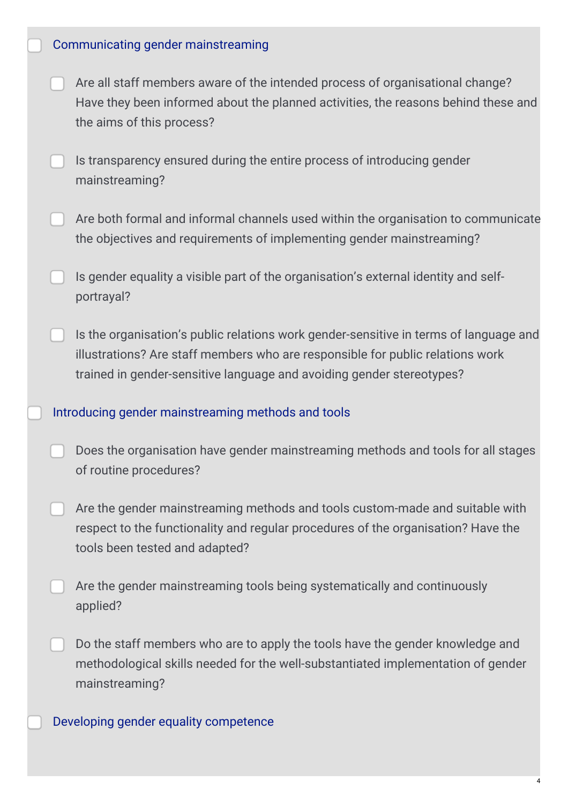- Are all staff members aware of the intended process of organisational change? Have they been informed about the planned activities, the reasons behind these and the aims of this process?
- Is transparency ensured during the entire process of introducing gender mainstreaming?
- Are both formal and informal channels used within the organisation to communicate the objectives and requirements of implementing gender mainstreaming?
- Is gender equality a visible part of the organisation's external identity and selfportrayal?
- Is the organisation's public relations work gender-sensitive in terms of language and illustrations? Are staff members who are responsible for public relations work trained in gender-sensitive language and avoiding gender stereotypes?

#### Introducing gender [mainstreaming](https://eige.europa.eu/gender-mainstreaming/tools-and-methods/gender-mainstreaming-and-institutional-transformation/step-8-introducing-gender-mainstreaming) methods and tools

- Does the organisation have gender mainstreaming methods and tools for all stages of routine procedures?
- Are the gender mainstreaming methods and tools custom-made and suitable with respect to the functionality and regular procedures of the organisation? Have the tools been tested and adapted?
- Are the gender mainstreaming tools being systematically and continuously applied?
- Do the staff members who are to apply the tools have the gender knowledge and methodological skills needed for the well-substantiated implementation of gender mainstreaming?

Developing gender equality [competence](https://eige.europa.eu/gender-mainstreaming/tools-and-methods/gender-mainstreaming-and-institutional-transformation/step-9-developing-gender-equality-competence)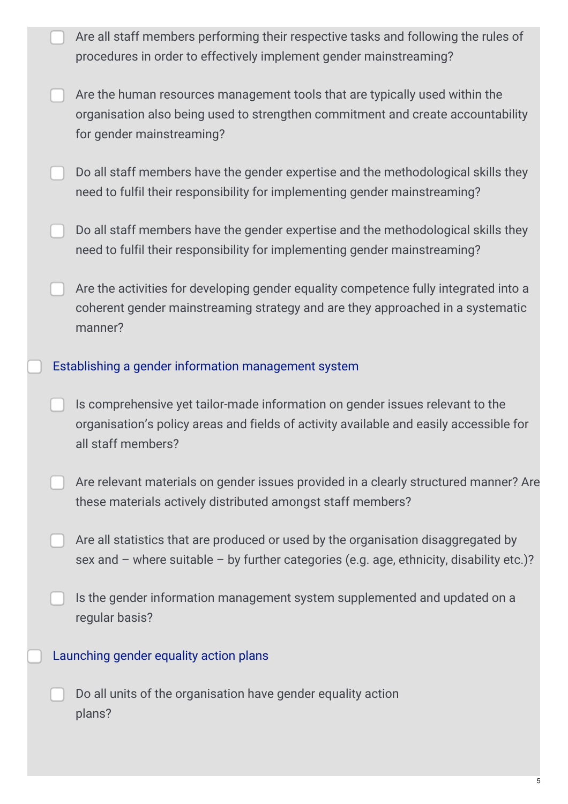|  | Are all staff members performing their respective tasks and following the rules of<br>procedures in order to effectively implement gender mainstreaming?                                      |
|--|-----------------------------------------------------------------------------------------------------------------------------------------------------------------------------------------------|
|  | Are the human resources management tools that are typically used within the<br>organisation also being used to strengthen commitment and create accountability<br>for gender mainstreaming?   |
|  | Do all staff members have the gender expertise and the methodological skills they<br>need to fulfil their responsibility for implementing gender mainstreaming?                               |
|  | Do all staff members have the gender expertise and the methodological skills they<br>need to fulfil their responsibility for implementing gender mainstreaming?                               |
|  | Are the activities for developing gender equality competence fully integrated into a<br>coherent gender mainstreaming strategy and are they approached in a systematic<br>manner?             |
|  | Establishing a gender information management system                                                                                                                                           |
|  | Is comprehensive yet tailor-made information on gender issues relevant to the<br>organisation's policy areas and fields of activity available and easily accessible for<br>all staff members? |
|  | Are relevant materials on gender issues provided in a clearly structured manner? Are<br>these materials actively distributed amongst staff members?                                           |
|  | Are all statistics that are produced or used by the organisation disaggregated by<br>sex and - where suitable - by further categories (e.g. age, ethnicity, disability etc.)?                 |
|  | Is the gender information management system supplemented and updated on a<br>regular basis?                                                                                                   |
|  | Launching gender equality action plans                                                                                                                                                        |
|  | Do all units of the organisation have gender equality action<br>plans?                                                                                                                        |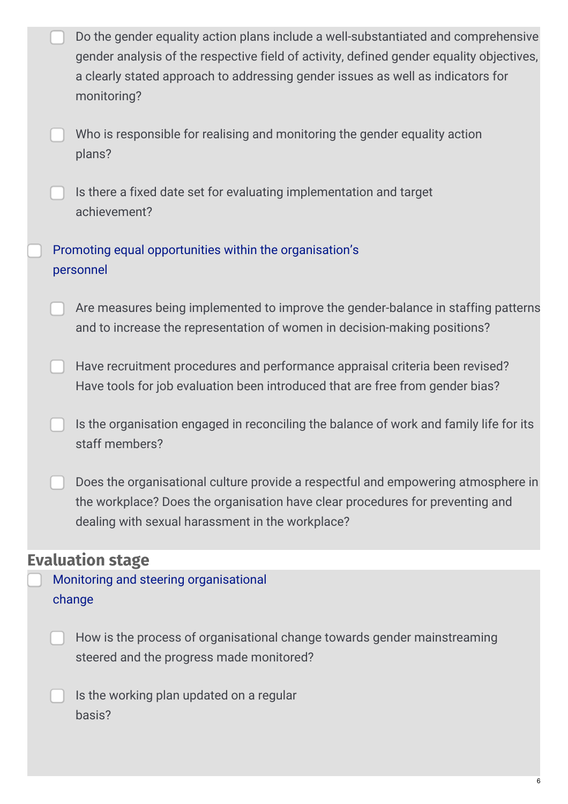|  | Do the gender equality action plans include a well-substantiated and comprehensive<br>gender analysis of the respective field of activity, defined gender equality objectives,<br>a clearly stated approach to addressing gender issues as well as indicators for<br>monitoring? |
|--|----------------------------------------------------------------------------------------------------------------------------------------------------------------------------------------------------------------------------------------------------------------------------------|
|  | Who is responsible for realising and monitoring the gender equality action<br>plans?                                                                                                                                                                                             |
|  | Is there a fixed date set for evaluating implementation and target<br>achievement?                                                                                                                                                                                               |
|  | Promoting equal opportunities within the organisation's<br>personnel                                                                                                                                                                                                             |
|  | Are measures being implemented to improve the gender-balance in staffing patterns<br>and to increase the representation of women in decision-making positions?                                                                                                                   |
|  | Have recruitment procedures and performance appraisal criteria been revised?<br>Have tools for job evaluation been introduced that are free from gender bias?                                                                                                                    |
|  | Is the organisation engaged in reconciling the balance of work and family life for its<br>staff members?                                                                                                                                                                         |
|  | Does the organisational culture provide a respectful and empowering atmosphere in<br>the workplace? Does the organisation have clear procedures for preventing and<br>dealing with sexual harassment in the workplace?                                                           |
|  | <b>Evaluation stage</b>                                                                                                                                                                                                                                                          |
|  | Monitoring and steering organisational<br>change                                                                                                                                                                                                                                 |
|  | How is the process of organisational change towards gender mainstreaming<br>steered and the progress made monitored?                                                                                                                                                             |
|  | Is the working plan updated on a regular<br>basis?                                                                                                                                                                                                                               |